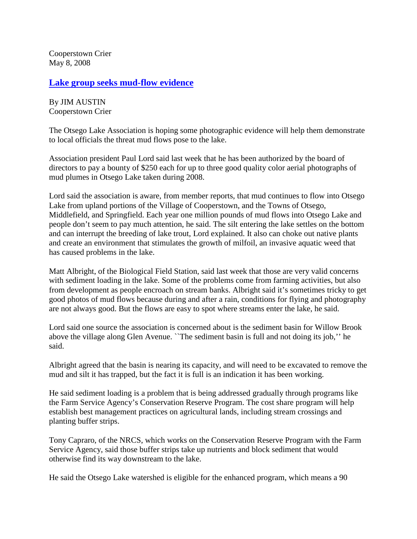Cooperstown Crier May 8, 2008

## **[Lake group seeks mud-flow evidence](http://www.coopercrier.com/local/x1525018738/Lake-group-seeks-mud-flow-evidence)**

By JIM AUSTIN Cooperstown Crier

The Otsego Lake Association is hoping some photographic evidence will help them demonstrate to local officials the threat mud flows pose to the lake.

Association president Paul Lord said last week that he has been authorized by the board of directors to pay a bounty of \$250 each for up to three good quality color aerial photographs of mud plumes in Otsego Lake taken during 2008.

Lord said the association is aware, from member reports, that mud continues to flow into Otsego Lake from upland portions of the Village of Cooperstown, and the Towns of Otsego, Middlefield, and Springfield. Each year one million pounds of mud flows into Otsego Lake and people don't seem to pay much attention, he said. The silt entering the lake settles on the bottom and can interrupt the breeding of lake trout, Lord explained. It also can choke out native plants and create an environment that stimulates the growth of milfoil, an invasive aquatic weed that has caused problems in the lake.

Matt Albright, of the Biological Field Station, said last week that those are very valid concerns with sediment loading in the lake. Some of the problems come from farming activities, but also from development as people encroach on stream banks. Albright said it's sometimes tricky to get good photos of mud flows because during and after a rain, conditions for flying and photography are not always good. But the flows are easy to spot where streams enter the lake, he said.

Lord said one source the association is concerned about is the sediment basin for Willow Brook above the village along Glen Avenue. ``The sediment basin is full and not doing its job,'' he said.

Albright agreed that the basin is nearing its capacity, and will need to be excavated to remove the mud and silt it has trapped, but the fact it is full is an indication it has been working.

He said sediment loading is a problem that is being addressed gradually through programs like the Farm Service Agency's Conservation Reserve Program. The cost share program will help establish best management practices on agricultural lands, including stream crossings and planting buffer strips.

Tony Capraro, of the NRCS, which works on the Conservation Reserve Program with the Farm Service Agency, said those buffer strips take up nutrients and block sediment that would otherwise find its way downstream to the lake.

He said the Otsego Lake watershed is eligible for the enhanced program, which means a 90